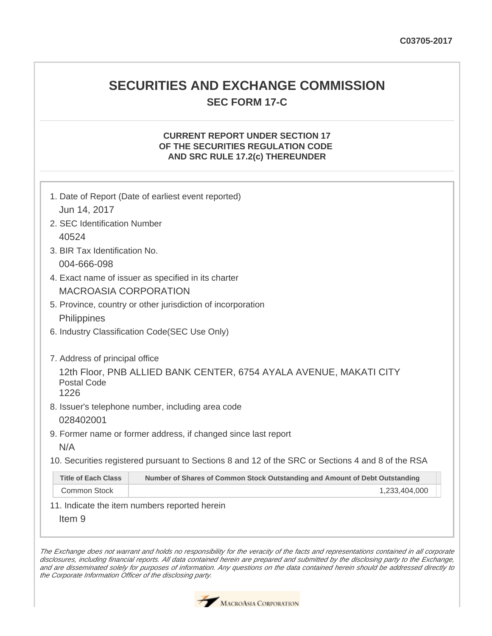## **SECURITIES AND EXCHANGE COMMISSION SEC FORM 17-C**

## **CURRENT REPORT UNDER SECTION 17 OF THE SECURITIES REGULATION CODE AND SRC RULE 17.2(c) THEREUNDER**

| 1. Date of Report (Date of earliest event reported) |                                                                                                   |  |  |  |
|-----------------------------------------------------|---------------------------------------------------------------------------------------------------|--|--|--|
| Jun 14, 2017                                        |                                                                                                   |  |  |  |
| 2. SEC Identification Number                        |                                                                                                   |  |  |  |
| 40524                                               |                                                                                                   |  |  |  |
| 3. BIR Tax Identification No.                       |                                                                                                   |  |  |  |
| 004-666-098                                         |                                                                                                   |  |  |  |
|                                                     | 4. Exact name of issuer as specified in its charter                                               |  |  |  |
| <b>MACROASIA CORPORATION</b>                        |                                                                                                   |  |  |  |
|                                                     | 5. Province, country or other jurisdiction of incorporation                                       |  |  |  |
| Philippines                                         |                                                                                                   |  |  |  |
|                                                     | 6. Industry Classification Code(SEC Use Only)                                                     |  |  |  |
|                                                     |                                                                                                   |  |  |  |
| 7. Address of principal office                      |                                                                                                   |  |  |  |
|                                                     | 12th Floor, PNB ALLIED BANK CENTER, 6754 AYALA AVENUE, MAKATI CITY                                |  |  |  |
| <b>Postal Code</b><br>1226                          |                                                                                                   |  |  |  |
|                                                     | 8. Issuer's telephone number, including area code                                                 |  |  |  |
| 028402001                                           |                                                                                                   |  |  |  |
|                                                     | 9. Former name or former address, if changed since last report                                    |  |  |  |
| N/A                                                 |                                                                                                   |  |  |  |
|                                                     | 10. Securities registered pursuant to Sections 8 and 12 of the SRC or Sections 4 and 8 of the RSA |  |  |  |
|                                                     |                                                                                                   |  |  |  |
| <b>Title of Each Class</b>                          | Number of Shares of Common Stock Outstanding and Amount of Debt Outstanding                       |  |  |  |
| <b>Common Stock</b>                                 | 1,233,404,000                                                                                     |  |  |  |
|                                                     | 11. Indicate the item numbers reported herein                                                     |  |  |  |
| Item <sub>9</sub>                                   |                                                                                                   |  |  |  |

The Exchange does not warrant and holds no responsibility for the veracity of the facts and representations contained in all corporate disclosures, including financial reports. All data contained herein are prepared and submitted by the disclosing party to the Exchange, and are disseminated solely for purposes of information. Any questions on the data contained herein should be addressed directly to the Corporate Information Officer of the disclosing party.

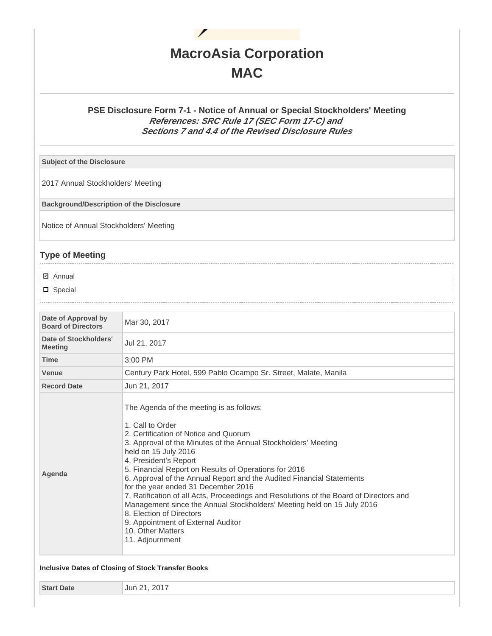

## **PSE Disclosure Form 7-1 - Notice of Annual or Special Stockholders' Meeting References: SRC Rule 17 (SEC Form 17-C) and Sections 7 and 4.4 of the Revised Disclosure Rules**

**Subject of the Disclosure**

2017 Annual Stockholders' Meeting

**Background/Description of the Disclosure**

Notice of Annual Stockholders' Meeting

## **Type of Meeting**

**☑** Annual

D Special

| Date of Approval by<br><b>Board of Directors</b> | Mar 30, 2017                                                                                                                                                                                                                                                                                                                                                                                                                                                                                                                                                                                                                                                                    |  |  |
|--------------------------------------------------|---------------------------------------------------------------------------------------------------------------------------------------------------------------------------------------------------------------------------------------------------------------------------------------------------------------------------------------------------------------------------------------------------------------------------------------------------------------------------------------------------------------------------------------------------------------------------------------------------------------------------------------------------------------------------------|--|--|
| Date of Stockholders'<br><b>Meeting</b>          | Jul 21, 2017                                                                                                                                                                                                                                                                                                                                                                                                                                                                                                                                                                                                                                                                    |  |  |
| <b>Time</b>                                      | 3:00 PM                                                                                                                                                                                                                                                                                                                                                                                                                                                                                                                                                                                                                                                                         |  |  |
| Venue                                            | Century Park Hotel, 599 Pablo Ocampo Sr. Street, Malate, Manila                                                                                                                                                                                                                                                                                                                                                                                                                                                                                                                                                                                                                 |  |  |
| <b>Record Date</b>                               | Jun 21, 2017                                                                                                                                                                                                                                                                                                                                                                                                                                                                                                                                                                                                                                                                    |  |  |
| Agenda                                           | The Agenda of the meeting is as follows:<br>1. Call to Order<br>2. Certification of Notice and Quorum<br>3. Approval of the Minutes of the Annual Stockholders' Meeting<br>held on 15 July 2016<br>4. President's Report<br>5. Financial Report on Results of Operations for 2016<br>6. Approval of the Annual Report and the Audited Financial Statements<br>for the year ended 31 December 2016<br>7. Ratification of all Acts, Proceedings and Resolutions of the Board of Directors and<br>Management since the Annual Stockholders' Meeting held on 15 July 2016<br>8. Election of Directors<br>9. Appointment of External Auditor<br>10. Other Matters<br>11. Adjournment |  |  |

**Start Date Jun 21, 2017**